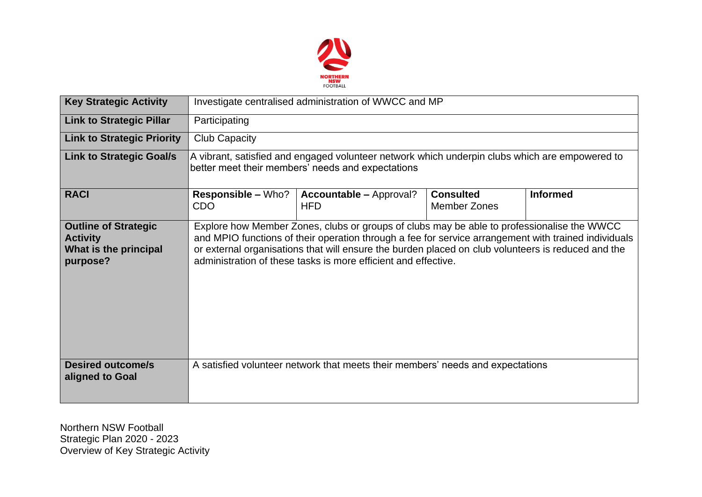

| <b>Key Strategic Activity</b>                                                       | Investigate centralised administration of WWCC and MP                                                                                                                                                                                                                                                                                                                      |                                                                                |                                         |                 |  |  |  |
|-------------------------------------------------------------------------------------|----------------------------------------------------------------------------------------------------------------------------------------------------------------------------------------------------------------------------------------------------------------------------------------------------------------------------------------------------------------------------|--------------------------------------------------------------------------------|-----------------------------------------|-----------------|--|--|--|
| <b>Link to Strategic Pillar</b>                                                     | Participating                                                                                                                                                                                                                                                                                                                                                              |                                                                                |                                         |                 |  |  |  |
| <b>Link to Strategic Priority</b>                                                   | <b>Club Capacity</b>                                                                                                                                                                                                                                                                                                                                                       |                                                                                |                                         |                 |  |  |  |
| <b>Link to Strategic Goal/s</b>                                                     | A vibrant, satisfied and engaged volunteer network which underpin clubs which are empowered to<br>better meet their members' needs and expectations                                                                                                                                                                                                                        |                                                                                |                                         |                 |  |  |  |
| <b>RACI</b>                                                                         | <b>Responsible – Who?</b><br><b>CDO</b>                                                                                                                                                                                                                                                                                                                                    | <b>Accountable - Approval?</b><br><b>HFD</b>                                   | <b>Consulted</b><br><b>Member Zones</b> | <b>Informed</b> |  |  |  |
| <b>Outline of Strategic</b><br><b>Activity</b><br>What is the principal<br>purpose? | Explore how Member Zones, clubs or groups of clubs may be able to professionalise the WWCC<br>and MPIO functions of their operation through a fee for service arrangement with trained individuals<br>or external organisations that will ensure the burden placed on club volunteers is reduced and the<br>administration of these tasks is more efficient and effective. |                                                                                |                                         |                 |  |  |  |
| <b>Desired outcome/s</b><br>aligned to Goal                                         |                                                                                                                                                                                                                                                                                                                                                                            | A satisfied volunteer network that meets their members' needs and expectations |                                         |                 |  |  |  |

Northern NSW Football Strategic Plan 2020 - 2023 Overview of Key Strategic Activity